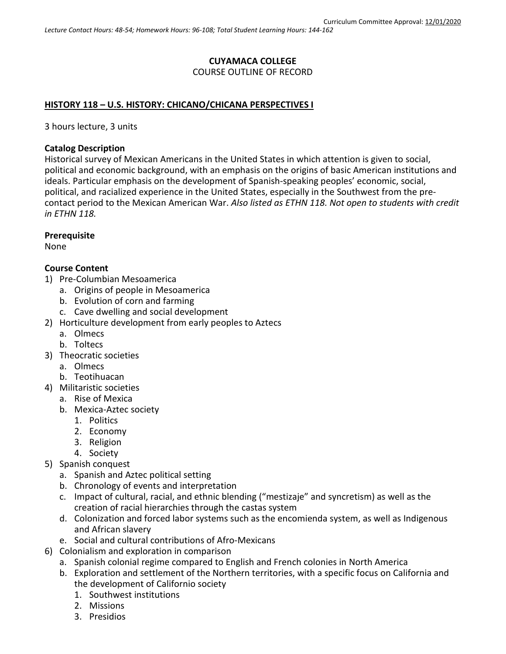# **CUYAMACA COLLEGE** COURSE OUTLINE OF RECORD

#### **HISTORY 118 – U.S. HISTORY: CHICANO/CHICANA PERSPECTIVES I**

3 hours lecture, 3 units

#### **Catalog Description**

Historical survey of Mexican Americans in the United States in which attention is given to social, political and economic background, with an emphasis on the origins of basic American institutions and ideals. Particular emphasis on the development of Spanish-speaking peoples' economic, social, political, and racialized experience in the United States, especially in the Southwest from the precontact period to the Mexican American War. *Also listed as ETHN 118. Not open to students with credit in ETHN 118.*

#### **Prerequisite**

None

#### **Course Content**

- 1) Pre-Columbian Mesoamerica
	- a. Origins of people in Mesoamerica
	- b. Evolution of corn and farming
	- c. Cave dwelling and social development
- 2) Horticulture development from early peoples to Aztecs
	- a. Olmecs
	- b. Toltecs
- 3) Theocratic societies
	- a. Olmecs
	- b. Teotihuacan
- 4) Militaristic societies
	- a. Rise of Mexica
	- b. Mexica-Aztec society
		- 1. Politics
		- 2. Economy
		- 3. Religion
		- 4. Society
- 5) Spanish conquest
	- a. Spanish and Aztec political setting
	- b. Chronology of events and interpretation
	- c. Impact of cultural, racial, and ethnic blending ("mestizaje" and syncretism) as well as the creation of racial hierarchies through the castas system
	- d. Colonization and forced labor systems such as the encomienda system, as well as Indigenous and African slavery
	- e. Social and cultural contributions of Afro-Mexicans
- 6) Colonialism and exploration in comparison
	- a. Spanish colonial regime compared to English and French colonies in North America
	- b. Exploration and settlement of the Northern territories, with a specific focus on California and the development of Californio society
		- 1. Southwest institutions
		- 2. Missions
		- 3. Presidios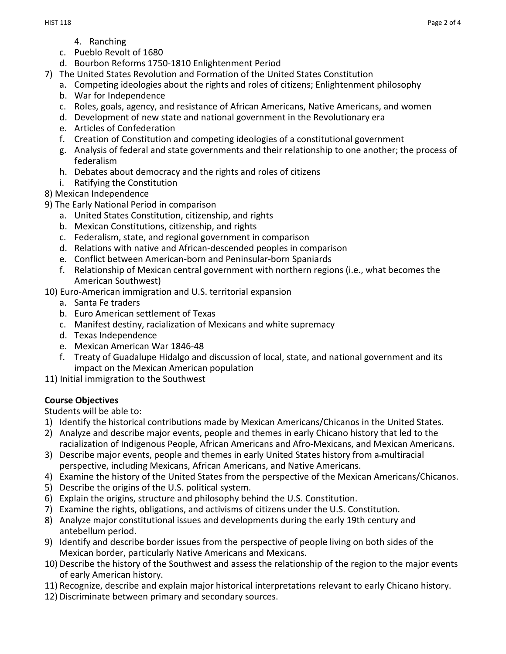- 4. Ranching
- c. Pueblo Revolt of 1680
- d. Bourbon Reforms 1750-1810 Enlightenment Period
- 7) The United States Revolution and Formation of the United States Constitution
	- a. Competing ideologies about the rights and roles of citizens; Enlightenment philosophy
	- b. War for Independence
	- c. Roles, goals, agency, and resistance of African Americans, Native Americans, and women
	- d. Development of new state and national government in the Revolutionary era
	- e. Articles of Confederation
	- f. Creation of Constitution and competing ideologies of a constitutional government
	- g. Analysis of federal and state governments and their relationship to one another; the process of federalism
	- h. Debates about democracy and the rights and roles of citizens
	- i. Ratifying the Constitution
- 8) Mexican Independence
- 9) The Early National Period in comparison
	- a. United States Constitution, citizenship, and rights
	- b. Mexican Constitutions, citizenship, and rights
	- c. Federalism, state, and regional government in comparison
	- d. Relations with native and African-descended peoples in comparison
	- e. Conflict between American-born and Peninsular-born Spaniards
	- f. Relationship of Mexican central government with northern regions (i.e., what becomes the American Southwest)
- 10) Euro-American immigration and U.S. territorial expansion
	- a. Santa Fe traders
	- b. Euro American settlement of Texas
	- c. Manifest destiny, racialization of Mexicans and white supremacy
	- d. Texas Independence
	- e. Mexican American War 1846-48
	- f. Treaty of Guadalupe Hidalgo and discussion of local, state, and national government and its impact on the Mexican American population
- 11) Initial immigration to the Southwest

## **Course Objectives**

Students will be able to:

- 1) Identify the historical contributions made by Mexican Americans/Chicanos in the United States.
- 2) Analyze and describe major events, people and themes in early Chicano history that led to the racialization of Indigenous People, African Americans and Afro-Mexicans, and Mexican Americans.
- 3) Describe major events, people and themes in early United States history from a multiracial perspective, including Mexicans, African Americans, and Native Americans.
- 4) Examine the history of the United States from the perspective of the Mexican Americans/Chicanos.
- 5) Describe the origins of the U.S. political system.
- 6) Explain the origins, structure and philosophy behind the U.S. Constitution.
- 7) Examine the rights, obligations, and activisms of citizens under the U.S. Constitution.
- 8) Analyze major constitutional issues and developments during the early 19th century and antebellum period.
- 9) Identify and describe border issues from the perspective of people living on both sides of the Mexican border, particularly Native Americans and Mexicans.
- 10) Describe the history of the Southwest and assess the relationship of the region to the major events of early American history.
- 11) Recognize, describe and explain major historical interpretations relevant to early Chicano history.
- 12) Discriminate between primary and secondary sources.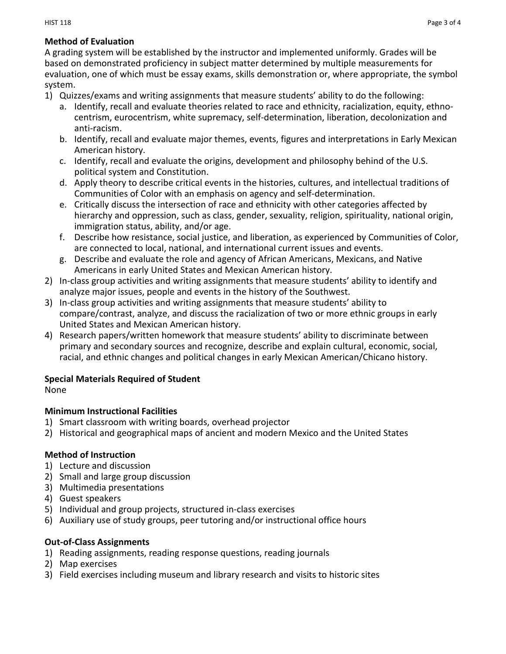#### **Method of Evaluation**

A grading system will be established by the instructor and implemented uniformly. Grades will be based on demonstrated proficiency in subject matter determined by multiple measurements for evaluation, one of which must be essay exams, skills demonstration or, where appropriate, the symbol system.

- 1) Quizzes/exams and writing assignments that measure students' ability to do the following:
	- a. Identify, recall and evaluate theories related to race and ethnicity, racialization, equity, ethnocentrism, eurocentrism, white supremacy, self-determination, liberation, decolonization and anti-racism.
	- b. Identify, recall and evaluate major themes, events, figures and interpretations in Early Mexican American history.
	- c. Identify, recall and evaluate the origins, development and philosophy behind of the U.S. political system and Constitution.
	- d. Apply theory to describe critical events in the histories, cultures, and intellectual traditions of Communities of Color with an emphasis on agency and self-determination.
	- e. Critically discuss the intersection of race and ethnicity with other categories affected by hierarchy and oppression, such as class, gender, sexuality, religion, spirituality, national origin, immigration status, ability, and/or age.
	- f. Describe how resistance, social justice, and liberation, as experienced by Communities of Color, are connected to local, national, and international current issues and events.
	- g. Describe and evaluate the role and agency of African Americans, Mexicans, and Native Americans in early United States and Mexican American history.
- 2) In-class group activities and writing assignments that measure students' ability to identify and analyze major issues, people and events in the history of the Southwest.
- 3) In-class group activities and writing assignments that measure students' ability to compare/contrast, analyze, and discuss the racialization of two or more ethnic groups in early United States and Mexican American history.
- 4) Research papers/written homework that measure students' ability to discriminate between primary and secondary sources and recognize, describe and explain cultural, economic, social, racial, and ethnic changes and political changes in early Mexican American/Chicano history.

#### **Special Materials Required of Student**

None

#### **Minimum Instructional Facilities**

- 1) Smart classroom with writing boards, overhead projector
- 2) Historical and geographical maps of ancient and modern Mexico and the United States

#### **Method of Instruction**

- 1) Lecture and discussion
- 2) Small and large group discussion
- 3) Multimedia presentations
- 4) Guest speakers
- 5) Individual and group projects, structured in-class exercises
- 6) Auxiliary use of study groups, peer tutoring and/or instructional office hours

#### **Out-of-Class Assignments**

- 1) Reading assignments, reading response questions, reading journals
- 2) Map exercises
- 3) Field exercises including museum and library research and visits to historic sites